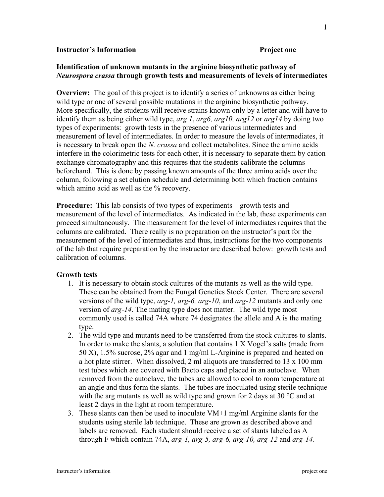### **Instructor's Information Project one**

# **Identification of unknown mutants in the arginine biosynthetic pathway of**  *Neurospora crassa* **through growth tests and measurements of levels of intermediates**

**Overview:** The goal of this project is to identify a series of unknowns as either being wild type or one of several possible mutations in the arginine biosynthetic pathway. More specifically, the students will receive strains known only by a letter and will have to identify them as being either wild type, *arg 1*, *arg6, arg10, arg12* or *arg14* by doing two types of experiments: growth tests in the presence of various intermediates and measurement of level of intermediates. In order to measure the levels of intermediates, it is necessary to break open the *N. crassa* and collect metabolites. Since the amino acids interfere in the colorimetric tests for each other, it is necessary to separate them by cation exchange chromatography and this requires that the students calibrate the columns beforehand. This is done by passing known amounts of the three amino acids over the column, following a set elution schedule and determining both which fraction contains which amino acid as well as the % recovery.

**Procedure:** This lab consists of two types of experiments—growth tests and measurement of the level of intermediates. As indicated in the lab, these experiments can proceed simultaneously. The measurement for the level of intermediates requires that the columns are calibrated. There really is no preparation on the instructor's part for the measurement of the level of intermediates and thus, instructions for the two components of the lab that require preparation by the instructor are described below: growth tests and calibration of columns.

#### **Growth tests**

- 1. It is necessary to obtain stock cultures of the mutants as well as the wild type. These can be obtained from the Fungal Genetics Stock Center. There are several versions of the wild type, *arg-1, arg-6, arg-10*, and *arg-12* mutants and only one version of *arg-14*. The mating type does not matter. The wild type most commonly used is called 74A where 74 designates the allele and A is the mating type.
- 2. The wild type and mutants need to be transferred from the stock cultures to slants. In order to make the slants, a solution that contains 1 X Vogel's salts (made from 50 X), 1.5% sucrose, 2% agar and 1 mg/ml L-Arginine is prepared and heated on a hot plate stirrer. When dissolved, 2 ml aliquots are transferred to 13 x 100 mm test tubes which are covered with Bacto caps and placed in an autoclave. When removed from the autoclave, the tubes are allowed to cool to room temperature at an angle and thus form the slants. The tubes are inoculated using sterile technique with the arg mutants as well as wild type and grown for 2 days at 30  $^{\circ}$ C and at least 2 days in the light at room temperature.
- 3. These slants can then be used to inoculate VM+1 mg/ml Arginine slants for the students using sterile lab technique. These are grown as described above and labels are removed. Each student should receive a set of slants labeled as A through F which contain 74A, *arg-1, arg-5, arg-6, arg-10, arg-12* and *arg-14*.